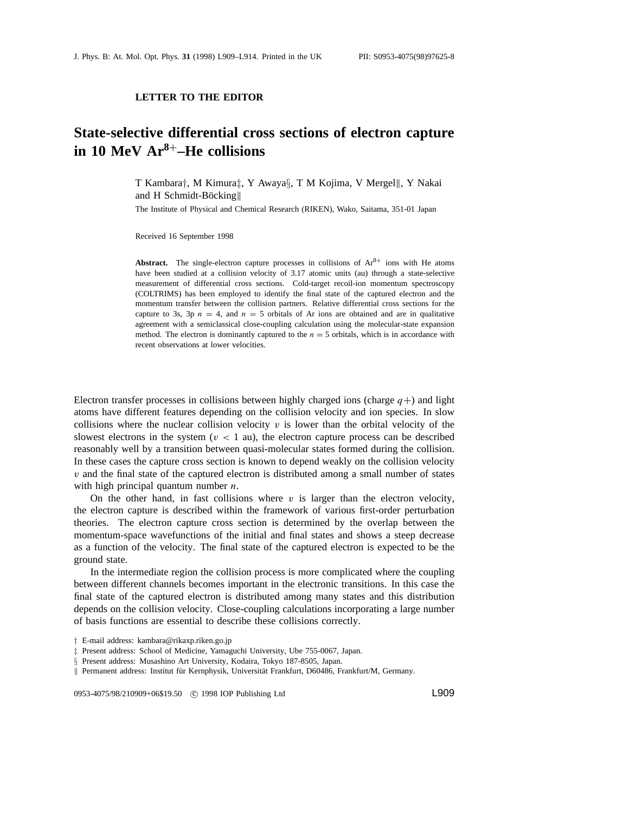### **LETTER TO THE EDITOR**

# **State-selective differential cross sections of electron capture in 10 MeV Ar<sup>8</sup>**+**–He collisions**

T Kambara<sup>†</sup>, M Kimura‡, Y Awaya§, T M Kojima, V Mergel∥, Y Nakai and H Schmidt-Böcking $\parallel$ 

The Institute of Physical and Chemical Research (RIKEN), Wako, Saitama, 351-01 Japan

Received 16 September 1998

**Abstract.** The single-electron capture processes in collisions of  $Ar<sup>8+</sup>$  ions with He atoms have been studied at a collision velocity of 3.17 atomic units (au) through a state-selective measurement of differential cross sections. Cold-target recoil-ion momentum spectroscopy (COLTRIMS) has been employed to identify the final state of the captured electron and the momentum transfer between the collision partners. Relative differential cross sections for the capture to 3s,  $3p\ n = 4$ , and  $n = 5$  orbitals of Ar ions are obtained and are in qualitative agreement with a semiclassical close-coupling calculation using the molecular-state expansion method. The electron is dominantly captured to the  $n = 5$  orbitals, which is in accordance with recent observations at lower velocities.

Electron transfer processes in collisions between highly charged ions (charge  $q+$ ) and light atoms have different features depending on the collision velocity and ion species. In slow collisions where the nuclear collision velocity  $v$  is lower than the orbital velocity of the slowest electrons in the system  $(v < 1$  au), the electron capture process can be described reasonably well by a transition between quasi-molecular states formed during the collision. In these cases the capture cross section is known to depend weakly on the collision velocity *v* and the final state of the captured electron is distributed among a small number of states with high principal quantum number *n*.

On the other hand, in fast collisions where  $v$  is larger than the electron velocity, the electron capture is described within the framework of various first-order perturbation theories. The electron capture cross section is determined by the overlap between the momentum-space wavefunctions of the initial and final states and shows a steep decrease as a function of the velocity. The final state of the captured electron is expected to be the ground state.

In the intermediate region the collision process is more complicated where the coupling between different channels becomes important in the electronic transitions. In this case the final state of the captured electron is distributed among many states and this distribution depends on the collision velocity. Close-coupling calculations incorporating a large number of basis functions are essential to describe these collisions correctly.

*†* E-mail address: kambara@rikaxp.riken.go.jp

*‡* Present address: School of Medicine, Yamaguchi University, Ube 755-0067, Japan.

- *§* Present address: Musashino Art University, Kodaira, Tokyo 187-8505, Japan.
- $∥$  Permanent address: Institut für Kernphysik, Universität Frankfurt, D60486, Frankfurt/M, Germany.

0953-4075/98/210909+06\$19.50 © 1998 IOP Publishing Ltd L909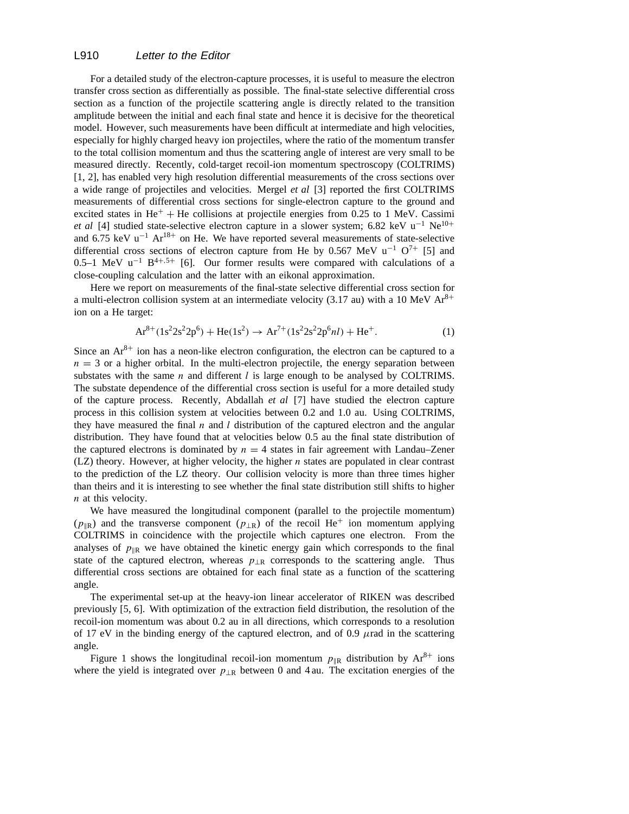# L910 Letter to the Editor

For a detailed study of the electron-capture processes, it is useful to measure the electron transfer cross section as differentially as possible. The final-state selective differential cross section as a function of the projectile scattering angle is directly related to the transition amplitude between the initial and each final state and hence it is decisive for the theoretical model. However, such measurements have been difficult at intermediate and high velocities, especially for highly charged heavy ion projectiles, where the ratio of the momentum transfer to the total collision momentum and thus the scattering angle of interest are very small to be measured directly. Recently, cold-target recoil-ion momentum spectroscopy (COLTRIMS) [1, 2], has enabled very high resolution differential measurements of the cross sections over a wide range of projectiles and velocities. Mergel *et al* [3] reported the first COLTRIMS measurements of differential cross sections for single-electron capture to the ground and excited states in  $He<sup>+</sup> + He$  collisions at projectile energies from 0.25 to 1 MeV. Cassimi *et al* [4] studied state-selective electron capture in a slower system; 6.82 keV u<sup>-1</sup> Ne<sup>10+</sup> and 6.75 keV u−<sup>1</sup> Ar18<sup>+</sup> on He. We have reported several measurements of state-selective differential cross sections of electron capture from He by 0.567 MeV u<sup>-1</sup> O<sup>7+</sup> [5] and 0.5–1 MeV u−<sup>1</sup> B4+*,*5<sup>+</sup> [6]. Our former results were compared with calculations of a close-coupling calculation and the latter with an eikonal approximation.

Here we report on measurements of the final-state selective differential cross section for a multi-electron collision system at an intermediate velocity (3.17 au) with a 10 MeV  $Ar^{8+}$ ion on a He target:

$$
Ar^{8+}(1s^22s^22p^6) + He(1s^2) \rightarrow Ar^{7+}(1s^22s^22p^6nl) + He^+. \tag{1}
$$

Since an  $Ar^{8+}$  ion has a neon-like electron configuration, the electron can be captured to a  $n = 3$  or a higher orbital. In the multi-electron projectile, the energy separation between substates with the same *n* and different *l* is large enough to be analysed by COLTRIMS. The substate dependence of the differential cross section is useful for a more detailed study of the capture process. Recently, Abdallah *et al* [7] have studied the electron capture process in this collision system at velocities between 0.2 and 1.0 au. Using COLTRIMS, they have measured the final *n* and *l* distribution of the captured electron and the angular distribution. They have found that at velocities below 0.5 au the final state distribution of the captured electrons is dominated by  $n = 4$  states in fair agreement with Landau–Zener (LZ) theory. However, at higher velocity, the higher *n* states are populated in clear contrast to the prediction of the LZ theory. Our collision velocity is more than three times higher than theirs and it is interesting to see whether the final state distribution still shifts to higher *n* at this velocity.

We have measured the longitudinal component (parallel to the projectile momentum)  $(p_{\parallel R})$  and the transverse component  $(p_{\perp R})$  of the recoil He<sup>+</sup> ion momentum applying COLTRIMS in coincidence with the projectile which captures one electron. From the analyses of  $p_{\parallel R}$  we have obtained the kinetic energy gain which corresponds to the final state of the captured electron, whereas  $p_{\perp R}$  corresponds to the scattering angle. Thus differential cross sections are obtained for each final state as a function of the scattering angle.

The experimental set-up at the heavy-ion linear accelerator of RIKEN was described previously [5, 6]. With optimization of the extraction field distribution, the resolution of the recoil-ion momentum was about 0.2 au in all directions, which corresponds to a resolution of 17 eV in the binding energy of the captured electron, and of 0.9 *µ*rad in the scattering angle.

Figure 1 shows the longitudinal recoil-ion momentum  $p_{\parallel R}$  distribution by Ar<sup>8+</sup> ions where the yield is integrated over  $p_{\perp R}$  between 0 and 4 au. The excitation energies of the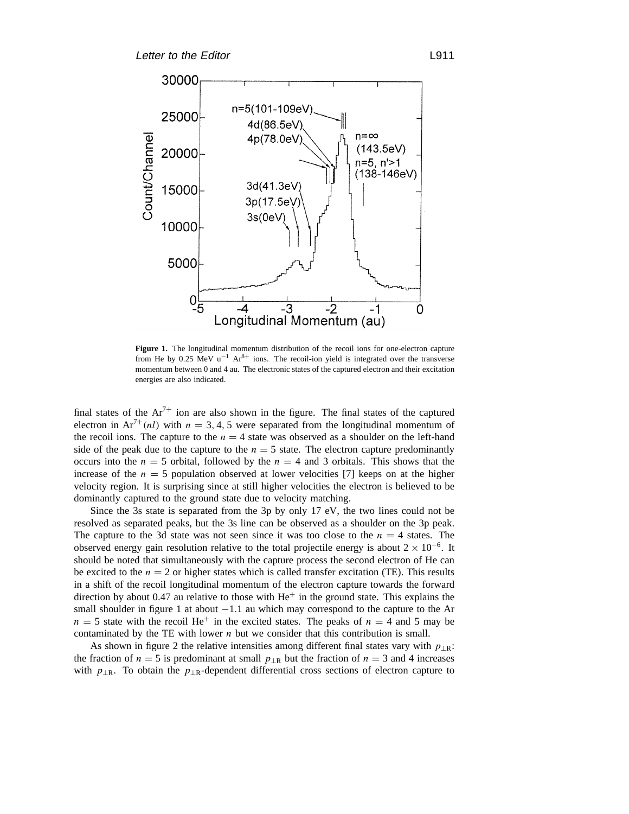

Figure 1. The longitudinal momentum distribution of the recoil ions for one-electron capture from He by 0.25 MeV  $u^{-1}$  Ar<sup>8+</sup> ions. The recoil-ion yield is integrated over the transverse momentum between 0 and 4 au. The electronic states of the captured electron and their excitation energies are also indicated.

final states of the  $Ar^{7+}$  ion are also shown in the figure. The final states of the captured electron in  $Ar^{7+}(nl)$  with  $n = 3, 4, 5$  were separated from the longitudinal momentum of the recoil ions. The capture to the  $n = 4$  state was observed as a shoulder on the left-hand side of the peak due to the capture to the  $n = 5$  state. The electron capture predominantly occurs into the  $n = 5$  orbital, followed by the  $n = 4$  and 3 orbitals. This shows that the increase of the  $n = 5$  population observed at lower velocities [7] keeps on at the higher velocity region. It is surprising since at still higher velocities the electron is believed to be dominantly captured to the ground state due to velocity matching.

Since the 3s state is separated from the 3p by only 17 eV, the two lines could not be resolved as separated peaks, but the 3s line can be observed as a shoulder on the 3p peak. The capture to the 3d state was not seen since it was too close to the  $n = 4$  states. The observed energy gain resolution relative to the total projectile energy is about  $2 \times 10^{-6}$ . It should be noted that simultaneously with the capture process the second electron of He can be excited to the  $n = 2$  or higher states which is called transfer excitation (TE). This results in a shift of the recoil longitudinal momentum of the electron capture towards the forward direction by about 0.47 au relative to those with  $He<sup>+</sup>$  in the ground state. This explains the small shoulder in figure 1 at about  $-1.1$  au which may correspond to the capture to the Ar  $n = 5$  state with the recoil He<sup>+</sup> in the excited states. The peaks of  $n = 4$  and 5 may be contaminated by the TE with lower *n* but we consider that this contribution is small.

As shown in figure 2 the relative intensities among different final states vary with  $p_{\perp R}$ : the fraction of  $n = 5$  is predominant at small  $p_{\text{R}}$  but the fraction of  $n = 3$  and 4 increases with *p*⊥R. To obtain the *p*⊥R-dependent differential cross sections of electron capture to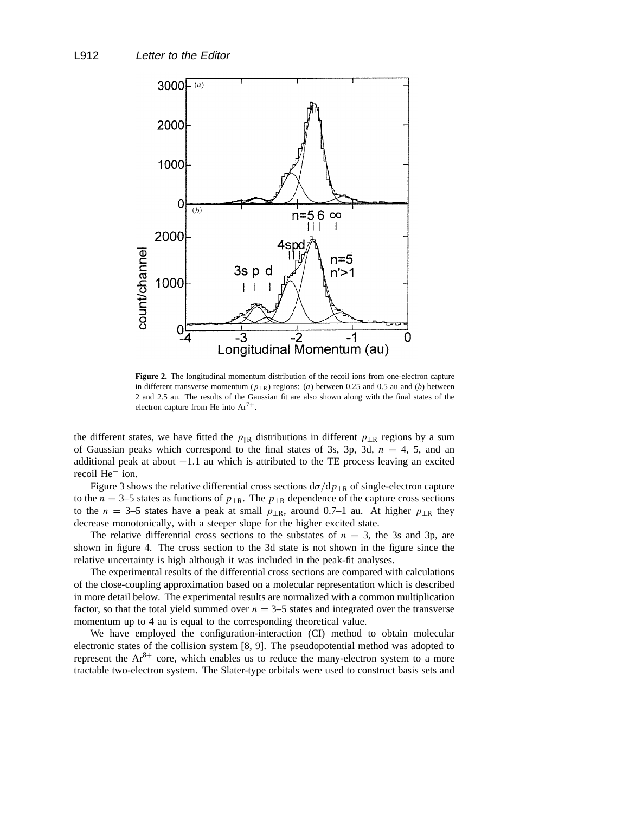

**Figure 2.** The longitudinal momentum distribution of the recoil ions from one-electron capture in different transverse momentum (*p*⊥R) regions: (*a*) between 0.25 and 0.5 au and (*b*) between 2 and 2.5 au. The results of the Gaussian fit are also shown along with the final states of the electron capture from He into  $Ar^{7+}$ .

the different states, we have fitted the  $p_{\parallel R}$  distributions in different  $p_{\perp R}$  regions by a sum of Gaussian peaks which correspond to the final states of 3s, 3p, 3d,  $n = 4$ , 5, and an additional peak at about −1*.*1 au which is attributed to the TE process leaving an excited recoil He<sup>+</sup> ion.

Figure 3 shows the relative differential cross sections d*σ/*d*p*⊥<sup>R</sup> of single-electron capture to the  $n = 3-5$  states as functions of  $p_{\perp R}$ . The  $p_{\perp R}$  dependence of the capture cross sections to the *n* = 3–5 states have a peak at small  $p_{\perp R}$ , around 0.7–1 au. At higher  $p_{\perp R}$  they decrease monotonically, with a steeper slope for the higher excited state.

The relative differential cross sections to the substates of  $n = 3$ , the 3s and 3p, are shown in figure 4. The cross section to the 3d state is not shown in the figure since the relative uncertainty is high although it was included in the peak-fit analyses.

The experimental results of the differential cross sections are compared with calculations of the close-coupling approximation based on a molecular representation which is described in more detail below. The experimental results are normalized with a common multiplication factor, so that the total yield summed over  $n = 3-5$  states and integrated over the transverse momentum up to 4 au is equal to the corresponding theoretical value.

We have employed the configuration-interaction (CI) method to obtain molecular electronic states of the collision system [8, 9]. The pseudopotential method was adopted to represent the  $Ar^{8+}$  core, which enables us to reduce the many-electron system to a more tractable two-electron system. The Slater-type orbitals were used to construct basis sets and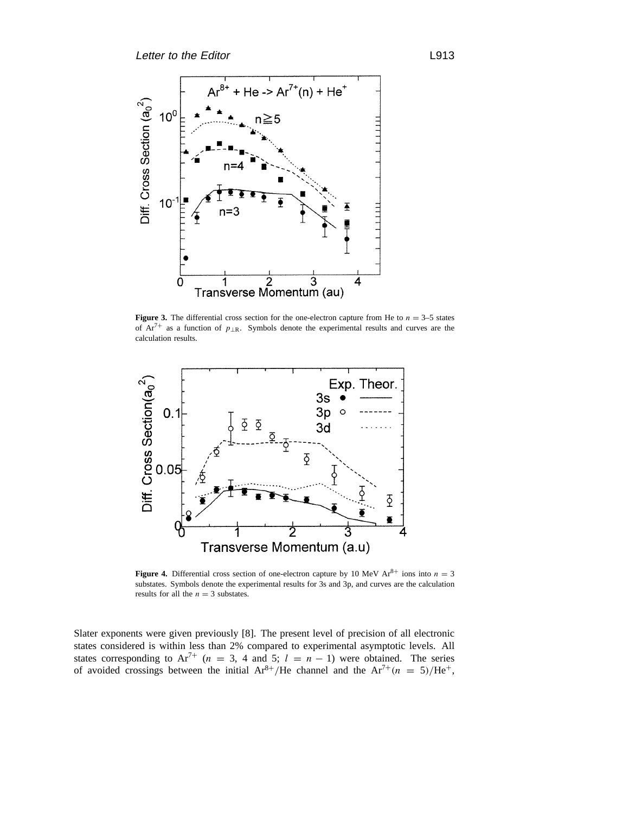

**Figure 3.** The differential cross section for the one-electron capture from He to  $n = 3-5$  states of Ar7<sup>+</sup> as a function of *<sup>p</sup>*⊥R. Symbols denote the experimental results and curves are the calculation results.



**Figure 4.** Differential cross section of one-electron capture by 10 MeV  $Ar^{8+}$  ions into  $n = 3$ substates. Symbols denote the experimental results for 3s and 3p, and curves are the calculation results for all the  $n = 3$  substates.

Slater exponents were given previously [8]. The present level of precision of all electronic states considered is within less than 2% compared to experimental asymptotic levels. All states corresponding to  $Ar^{7+}$  (*n* = 3, 4 and 5; *l* = *n* − 1) were obtained. The series of avoided crossings between the initial  $Ar^{8+}/He$  channel and the  $Ar^{7+}(n = 5)/He^{+}$ ,